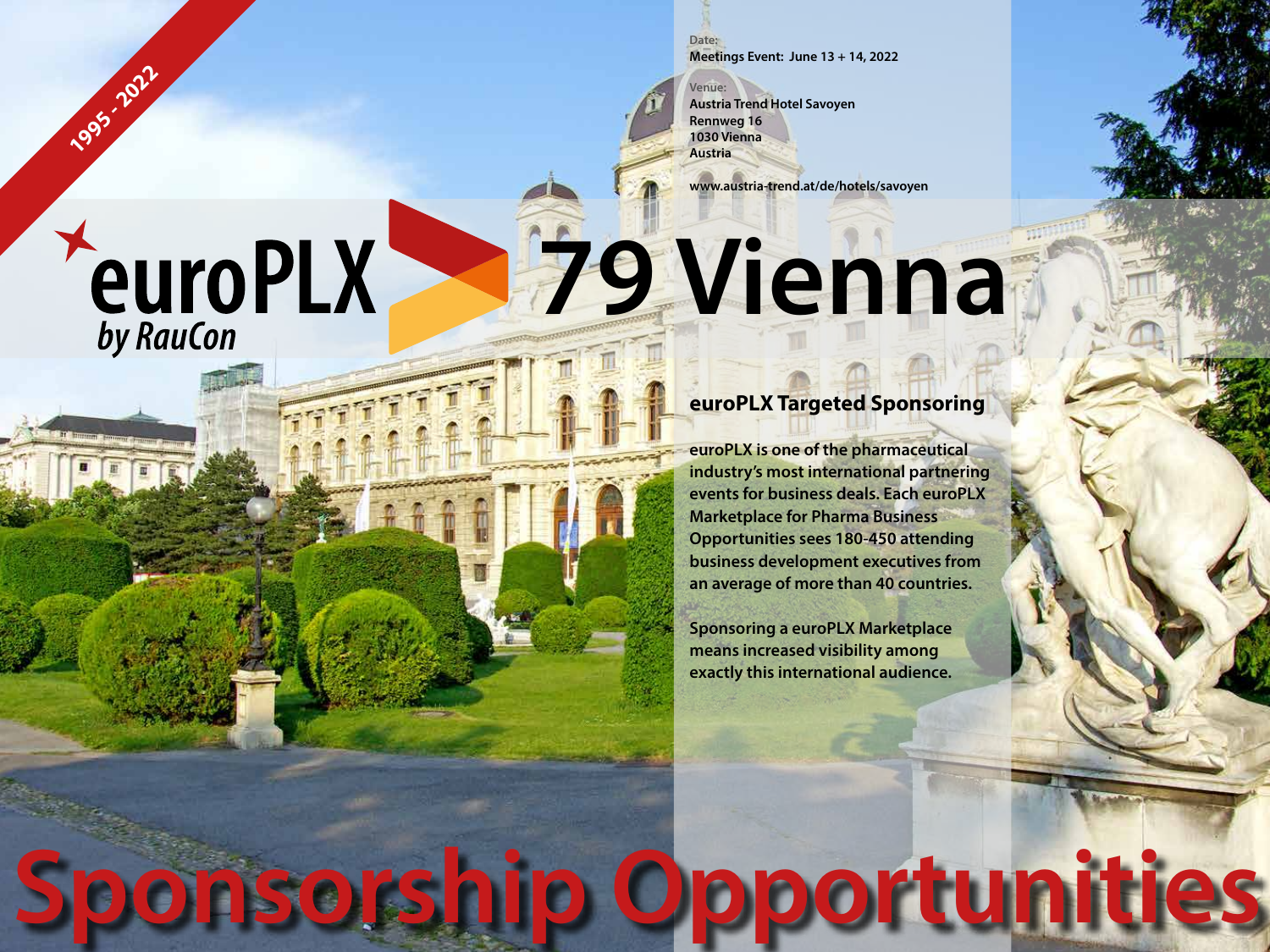**Date: Meetings Event: June 13 + 14, 2022**

**Venue: Austria Trend Hotel Savoyen Rennweg 16 1030 Vienna Austria**

**www.austria-trend.at/de/hotels/savoyen**

## **79 Vienna**

### **euroPLX Targeted Sponsoring**

**euroPLX is one of the pharmaceutical industry's most international partnering events for business deals. Each euroPLX Marketplace for Pharma Business Opportunities sees 180-450 attending business development executives from an average of more than 40 countries.**

**Sponsoring a euroPLX Marketplace means increased visibility among exactly this international audience.**

**Sponsorship Opportunities**

# **PeuroPLX**

**1995 - 2022**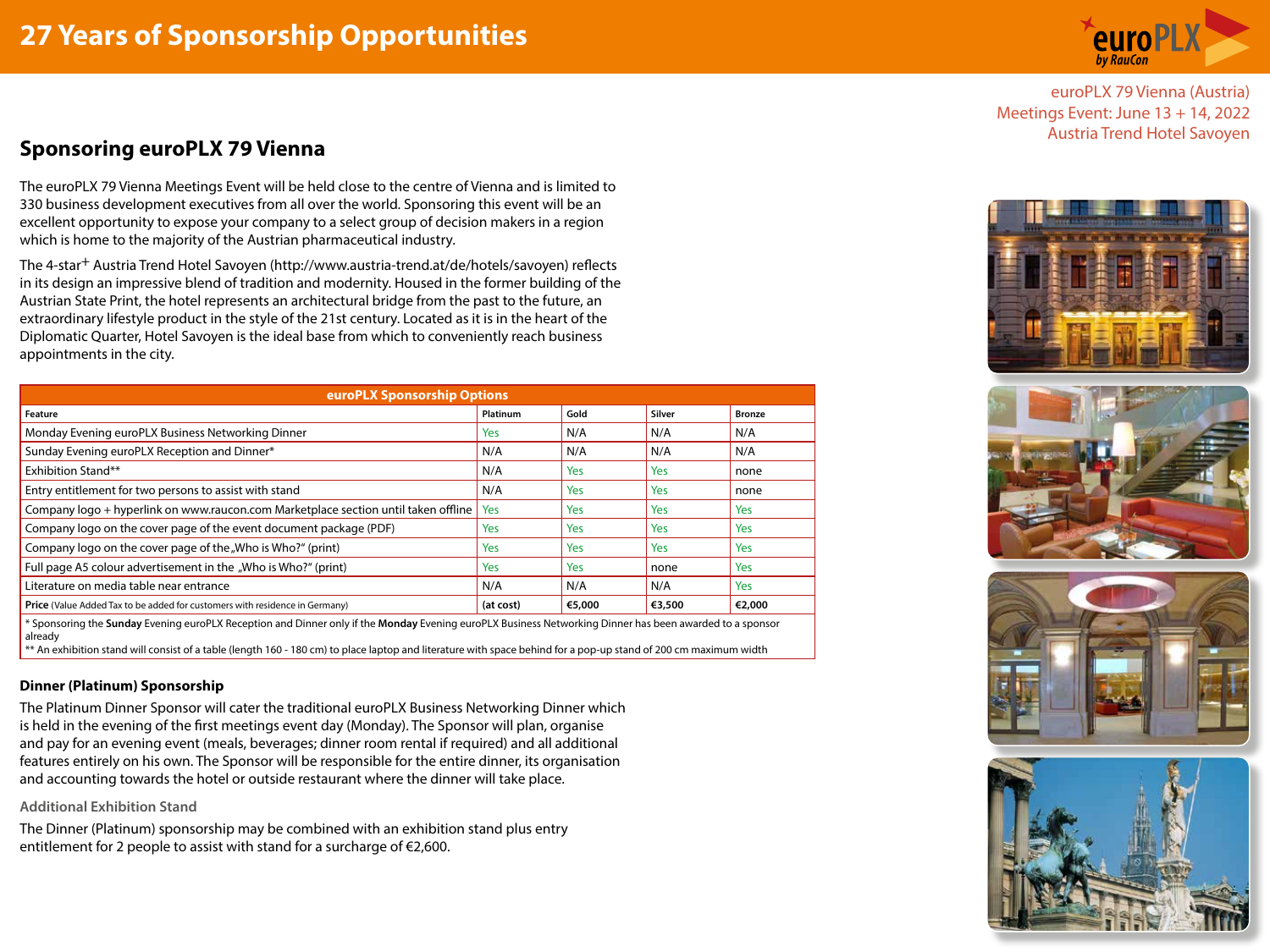

euroPLX 79 Vienna (Austria) Meetings Event: June 13 + 14, 2022

## Austria Trend Hotel Savoyen **Sponsoring euroPLX 79 Vienna**

The euroPLX 79 Vienna Meetings Event will be held close to the centre of Vienna and is limited to 330 business development executives from all over the world. Sponsoring this event will be an excellent opportunity to expose your company to a select group of decision makers in a region which is home to the majority of the Austrian pharmaceutical industry.

The 4-star+ Austria Trend Hotel Savoyen (http://www.austria-trend.at/de/hotels/savoyen) reflects in its design an impressive blend of tradition and modernity. Housed in the former building of the Austrian State Print, the hotel represents an architectural bridge from the past to the future, an extraordinary lifestyle product in the style of the 21st century. Located as it is in the heart of the Diplomatic Quarter, Hotel Savoyen is the ideal base from which to conveniently reach business appointments in the city.

| <b>euroPLX Sponsorship Options</b>                                                                                                                                  |                 |        |        |               |
|---------------------------------------------------------------------------------------------------------------------------------------------------------------------|-----------------|--------|--------|---------------|
| Feature                                                                                                                                                             | <b>Platinum</b> | Gold   | Silver | <b>Bronze</b> |
| Monday Evening euroPLX Business Networking Dinner                                                                                                                   | <b>Yes</b>      | N/A    | N/A    | N/A           |
| Sunday Evening euroPLX Reception and Dinner*                                                                                                                        | N/A             | N/A    | N/A    | N/A           |
| Exhibition Stand**                                                                                                                                                  | N/A             | Yes    | Yes    | none          |
| Entry entitlement for two persons to assist with stand                                                                                                              | N/A             | Yes    | Yes    | none          |
| Company logo + hyperlink on www.raucon.com Marketplace section until taken offline                                                                                  | Yes             | Yes    | Yes    | <b>Yes</b>    |
| Company logo on the cover page of the event document package (PDF)                                                                                                  | <b>Yes</b>      | Yes    | Yes    | <b>Yes</b>    |
| Company logo on the cover page of the "Who is Who?" (print)                                                                                                         | Yes             | Yes    | Yes    | Yes           |
| Full page A5 colour advertisement in the "Who is Who?" (print)                                                                                                      | <b>Yes</b>      | Yes    | none   | Yes           |
| Literature on media table near entrance                                                                                                                             | N/A             | N/A    | N/A    | Yes           |
| Price (Value Added Tax to be added for customers with residence in Germany)                                                                                         | (at cost)       | €5,000 | €3,500 | €2,000        |
| * Sponsoring the Sunday Evening euroPLX Reception and Dinner only if the Monday Evening euroPLX Business Networking Dinner has been awarded to a sponsor<br>already |                 |        |        |               |

\*\* An exhibition stand will consist of a table (length 160 - 180 cm) to place laptop and literature with space behind for a pop-up stand of 200 cm maximum width

#### **Dinner (Platinum) Sponsorship**

The Platinum Dinner Sponsor will cater the traditional euroPLX Business Networking Dinner which is held in the evening of the first meetings event day (Monday). The Sponsor will plan, organise and pay for an evening event (meals, beverages; dinner room rental if required) and all additional features entirely on his own. The Sponsor will be responsible for the entire dinner, its organisation and accounting towards the hotel or outside restaurant where the dinner will take place.

#### **Additional Exhibition Stand**

The Dinner (Platinum) sponsorship may be combined with an exhibition stand plus entry entitlement for 2 people to assist with stand for a surcharge of €2,600.